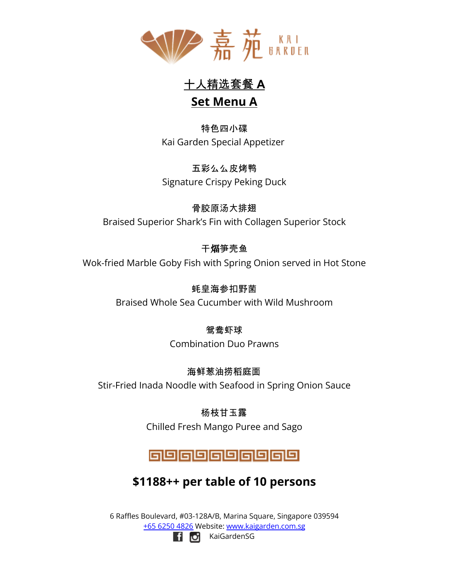

十人精选套餐 **A Set Menu A**

特色四小碟 Kai Garden Special Appetizer

五彩么么皮烤鸭 Signature Crispy Peking Duck

骨胶原汤大排翅 Braised Superior Shark's Fin with Collagen Superior Stock

干煏笋壳鱼 Wok-fried Marble Goby Fish with Spring Onion served in Hot Stone

> 蚝皇海参扣野菌 Braised Whole Sea Cucumber with Wild Mushroom

> > 鸳鸯虾球 Combination Duo Prawns

海鲜葱油捞稻庭面 Stir-Fried Inada Noodle with Seafood in Spring Onion Sauce

> 杨枝甘玉露 Chilled Fresh Mango Puree and Sago

## @@@@@@@@@@

# **\$1188++ per table of 10 persons**

6 Raffles Boulevard, #03-128A/B, Marina Square, Singapore 039594 +65 [6250](tel:+6562504826) 4826 Website: [www.kaigarden.com.sg](http://www.kaigarden.com.sg) **f o** KaiGardenSG

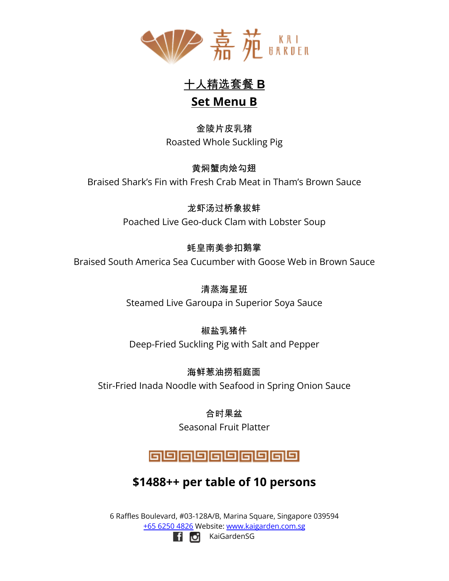

十人精选套餐 **B**

## **Set Menu B**

金陵片皮乳猪 Roasted Whole Suckling Pig

黄焖蟹肉烩勾翅 Braised Shark's Fin with Fresh Crab Meat in Tham's Brown Sauce

> 龙虾汤过桥象拔蚌 Poached Live Geo-duck Clam with Lobster Soup

## 蚝皇南美参扣鹅掌

Braised South America Sea Cucumber with Goose Web in Brown Sauce

清蒸海星班 Steamed Live Garoupa in Superior Soya Sauce

## 椒盐乳猪件

Deep-Fried Suckling Pig with Salt and Pepper

海鲜葱油捞稻庭面 Stir-Fried Inada Noodle with Seafood in Spring Onion Sauce

> 合时果盆 Seasonal Fruit Platter

# 888888888

# **\$1488++ per table of 10 persons**

6 Raffles Boulevard, #03-128A/B, Marina Square, Singapore 039594 +65 [6250](tel:+6562504826) 4826 Website: [www.kaigarden.com.sg](http://www.kaigarden.com.sg) **Fi O** KaiGardenSG